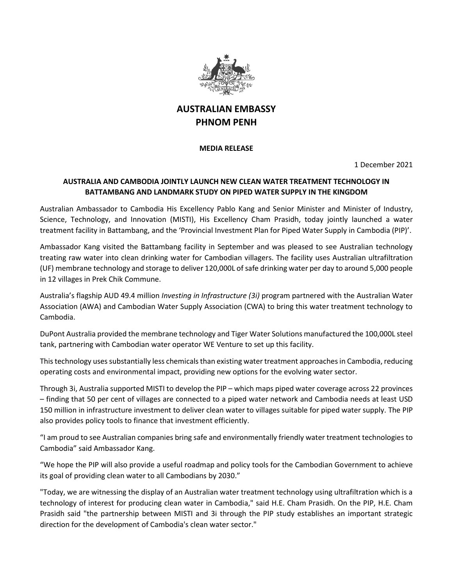

## **AUSTRALIAN EMBASSY PHNOM PENH**

**MEDIA RELEASE**

1 December 2021

## **AUSTRALIA AND CAMBODIA JOINTLY LAUNCH NEW CLEAN WATER TREATMENT TECHNOLOGY IN BATTAMBANG AND LANDMARK STUDY ON PIPED WATER SUPPLY IN THE KINGDOM**

Australian Ambassador to Cambodia His Excellency Pablo Kang and Senior Minister and Minister of Industry, Science, Technology, and Innovation (MISTI), His Excellency Cham Prasidh, today jointly launched a water treatment facility in Battambang, and the 'Provincial Investment Plan for Piped Water Supply in Cambodia (PIP)'.

Ambassador Kang visited the Battambang facility in September and was pleased to see Australian technology treating raw water into clean drinking water for Cambodian villagers. The facility uses Australian ultrafiltration (UF) membrane technology and storage to deliver 120,000L of safe drinking water per day to around 5,000 people in 12 villages in Prek Chik Commune.

Australia's flagship AUD 49.4 million *Investing in Infrastructure (3i)* program partnered with the Australian Water Association (AWA) and Cambodian Water Supply Association (CWA) to bring this water treatment technology to Cambodia.

DuPont Australia provided the membrane technology and Tiger Water Solutions manufactured the 100,000L steel tank, partnering with Cambodian water operator WE Venture to set up this facility.

This technology uses substantially less chemicals than existing water treatment approaches in Cambodia, reducing operating costs and environmental impact, providing new options for the evolving water sector.

Through 3i, Australia supported MISTI to develop the PIP – which maps piped water coverage across 22 provinces – finding that 50 per cent of villages are connected to a piped water network and Cambodia needs at least USD 150 million in infrastructure investment to deliver clean water to villages suitable for piped water supply. The PIP also provides policy tools to finance that investment efficiently.

"I am proud to see Australian companies bring safe and environmentally friendly water treatment technologies to Cambodia" said Ambassador Kang.

"We hope the PIP will also provide a useful roadmap and policy tools for the Cambodian Government to achieve its goal of providing clean water to all Cambodians by 2030."

"Today, we are witnessing the display of an Australian water treatment technology using ultrafiltration which is a technology of interest for producing clean water in Cambodia," said H.E. Cham Prasidh. On the PIP, H.E. Cham Prasidh said "the partnership between MISTI and 3i through the PIP study establishes an important strategic direction for the development of Cambodia's clean water sector."